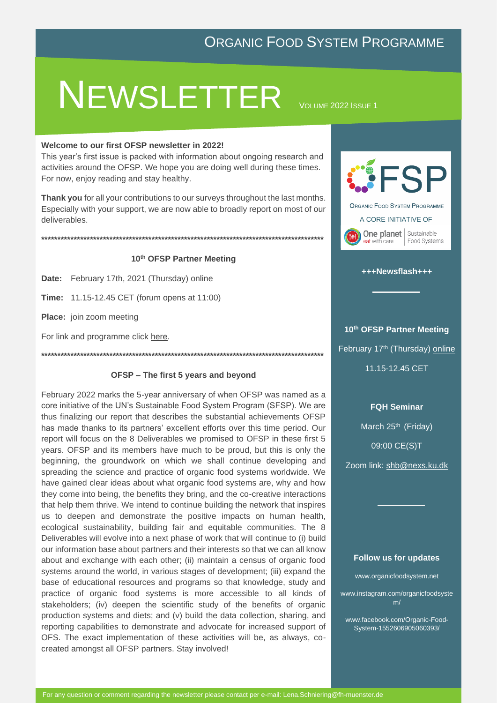# **NEWSLETTER**

VOLUME 2022 ISSUE 1

#### Welcome to our first OFSP newsletter in 2022!

This year's first issue is packed with information about ongoing research and activities around the OFSP. We hope you are doing well during these times. For now, enjoy reading and stay healthy.

Thank you for all your contributions to our surveys throughout the last months. Especially with your support, we are now able to broadly report on most of our deliverables.

#### 10th OFSP Partner Meeting

Date: February 17th, 2021 (Thursday) online

**Time:** 11.15-12.45 CET (forum opens at 11:00)

Place: join zoom meeting

For link and programme click here.

#### OFSP - The first 5 years and beyond

February 2022 marks the 5-year anniversary of when OFSP was named as a core initiative of the UN's Sustainable Food System Program (SFSP). We are thus finalizing our report that describes the substantial achievements OFSP has made thanks to its partners' excellent efforts over this time period. Our report will focus on the 8 Deliverables we promised to OFSP in these first 5 years. OFSP and its members have much to be proud, but this is only the beginning, the groundwork on which we shall continue developing and spreading the science and practice of organic food systems worldwide. We have gained clear ideas about what organic food systems are, why and how they come into being, the benefits they bring, and the co-creative interactions that help them thrive. We intend to continue building the network that inspires us to deepen and demonstrate the positive impacts on human health, ecological sustainability, building fair and equitable communities. The 8 Deliverables will evolve into a next phase of work that will continue to (i) build our information base about partners and their interests so that we can all know about and exchange with each other; (ii) maintain a census of organic food systems around the world, in various stages of development; (iii) expand the base of educational resources and programs so that knowledge, study and practice of organic food systems is more accessible to all kinds of stakeholders; (iv) deepen the scientific study of the benefits of organic production systems and diets; and (v) build the data collection, sharing, and reporting capabilities to demonstrate and advocate for increased support of OFS. The exact implementation of these activities will be, as always, cocreated amongst all OFSP partners. Stay involved!



#### +++Newsflash+++

#### 10th OFSP Partner Meeting

February 17th (Thursday) online

11.15-12.45 CET

#### **FQH Seminar**

March 25th (Friday)

09:00 CE(S)T

Zoom link: shb@nexs.ku.dk

#### **Follow us for updates**

www.organicfoodsystem.net

www.instagram.com/organicfoodsyste  $m/$ 

www.facebook.com/Organic-Food-System-1552606905060393/

For any question or comment regarding the newsletter please contact per e-mail: Lena.Schniering@fh-muenster.de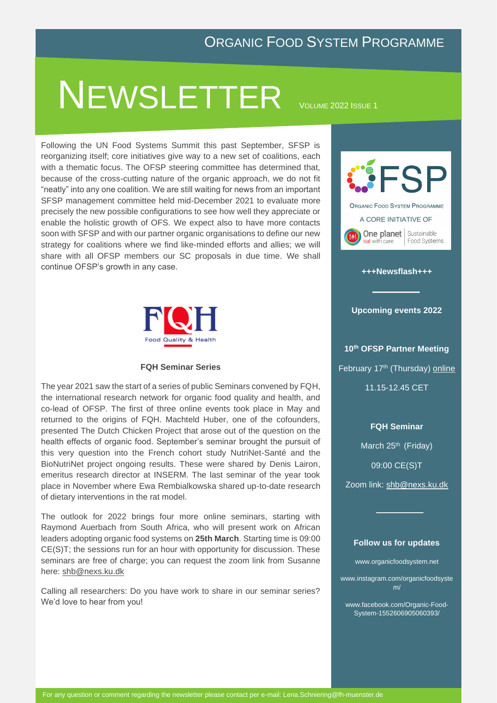# NEWSLETTER <sup>V</sup>OLUME <sup>2022</sup> <sup>I</sup>SSUE <sup>1</sup>

Following the UN Food Systems Summit this past September, SFSP is reorganizing itself; core initiatives give way to a new set of [coalitions,](file:///C:/Users/davidgould/Downloads/Overview-coalitions.pdf) each with a thematic focus. The OFSP steering committee has determined that, because of the cross-cutting nature of the organic approach, we do not fit "neatly" into any one coalition. We are still waiting for news from an important SFSP management committee held mid-December 2021 to evaluate more precisely the new possible configurations to see how well they appreciate or enable the holistic growth of OFS. We expect also to have more contacts soon with SFSP and with our partner organic organisations to define our new strategy for coalitions where we find like-minded efforts and allies; we will share with all OFSP members our SC proposals in due time. We shall continue OFSP's growth in any case.



#### **FQH Seminar Series**

The year 2021 saw the start of a series of public Seminars convened by FQH, the international research network for organic food quality and health, and co-lead of OFSP. The first of three online events took place in May and returned to the origins of FQH. Machteld Huber, one of the cofounders, presented The Dutch Chicken Project that arose out of the question on the health effects of organic food. September's seminar brought the pursuit of this very question into the French cohort study NutriNet-Santé and the BioNutriNet project ongoing results. These were shared by Denis Lairon, emeritus research director at INSERM. The last seminar of the year took place in November where Ewa Rembialkowska shared up-to-date research of dietary interventions in the rat model.

The outlook for 2022 brings four more online seminars, starting with Raymond Auerbach from South Africa, who will present work on African leaders adopting organic food systems on **25th March**. Starting time is 09:00 CE(S)T; the sessions run for an hour with opportunity for discussion. These seminars are free of charge; you can request the zoom link from Susanne here: [shb@nexs.ku.dk](shb@nexs.ku.dk%20%20) 

Calling all researchers: Do you have work to share in our seminar series? We'd love to hear from you!



#### **+++Newsflash+++**

#### **Upcoming events 2022**

**10th OFSP Partner Meeting** February 17<sup>th</sup> (Thursday) [online](https://organicfoodsystem.net/portfolio/save-the-date-17-02-partner-meeting/) 11.15-12.45 CET

#### **FQH Seminar**

March 25<sup>th</sup> (Friday)

09:00 CE(S)T

Zoom link: [shb@nexs.ku.dk](file:///C:/Users/schni/OneDrive/Dokumente/OFSP/Newsletter/OFSP_2022/shb@nexs.ku.dk) 

#### **Follow us for updates**

www.organicfoodsystem.net

www.instagram.com/organicfoodsyste m/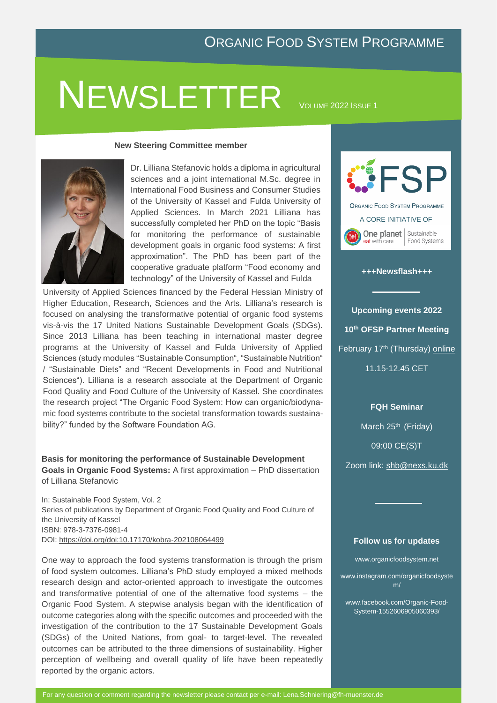# NEWSLETTER VOLUME 2022 ISSUE 1

#### **New Steering Committee member**



Dr. Lilliana Stefanovic holds a diploma in agricultural sciences and a joint international M.Sc. degree in International Food Business and Consumer Studies of the University of Kassel and Fulda University of Applied Sciences. In March 2021 Lilliana has successfully completed her PhD on the topic "Basis for monitoring the performance of sustainable development goals in organic food systems: A first approximation". The PhD has been part of the cooperative graduate platform "Food economy and technology" of the University of Kassel and Fulda

University of Applied Sciences financed by the Federal Hessian Ministry of Higher Education, Research, Sciences and the Arts. Lilliana's research is focused on analysing the transformative potential of organic food systems vis-à-vis the 17 United Nations Sustainable Development Goals (SDGs). Since 2013 Lilliana has been teaching in international master degree programs at the University of Kassel and Fulda University of Applied Sciences (study modules "Sustainable Consumption", "Sustainable Nutrition" / "Sustainable Diets" and "Recent Developments in Food and Nutritional Sciences"). Lilliana is a research associate at the Department of Organic Food Quality and Food Culture of the University of Kassel. She coordinates the research project "The Organic Food System: How can organic/biodynamic food systems contribute to the societal transformation towards sustainability?" funded by the Software Foundation AG.

**Basis for monitoring the performance of Sustainable Development Goals in Organic Food Systems:** A first approximation – PhD dissertation of Lilliana Stefanovic

In: Sustainable Food System, Vol. 2 Series of publications by Department of Organic Food Quality and Food Culture of the University of Kassel ISBN: 978-3-7376-0981-4 DOI:<https://doi.org/doi:10.17170/kobra-202108064499>

One way to approach the food systems transformation is through the prism of food system outcomes. Lilliana's PhD study employed a mixed methods research design and actor-oriented approach to investigate the outcomes and transformative potential of one of the alternative food systems – the Organic Food System. A stepwise analysis began with the identification of outcome categories along with the specific outcomes and proceeded with the investigation of the contribution to the 17 Sustainable Development Goals (SDGs) of the United Nations, from goal- to target-level. The revealed outcomes can be attributed to the three dimensions of sustainability. Higher perception of wellbeing and overall quality of life have been repeatedly reported by the organic actors.



#### **+++Newsflash+++**

**Upcoming events 2022 10th OFSP Partner Meeting** February 17th (Thursday) [online](https://organicfoodsystem.net/portfolio/save-the-date-17-02-partner-meeting/) 11.15-12.45 CET

**FQH Seminar**

March 25<sup>th</sup> (Friday)

09:00 CE(S)T

Zoom link: [shb@nexs.ku.dk](file:///C:/Users/schni/OneDrive/Dokumente/OFSP/Newsletter/OFSP_2022/shb@nexs.ku.dk) 

#### **Follow us for updates**

www.organicfoodsystem.net

www.instagram.com/organicfoodsyste m/

www.facebook.com/Organic-Food-System-1552606905060393/

For any question or comment regarding the newsletter please contact per e-mail: Lena.Schniering@fh-muenster.de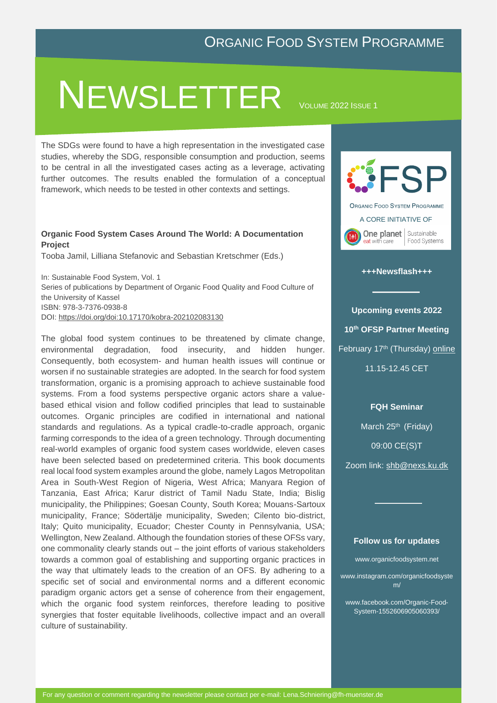# NEWSLETTER <sup>V</sup>OLUME <sup>2022</sup> <sup>I</sup>SSUE <sup>1</sup>

The SDGs were found to have a high representation in the investigated case studies, whereby the SDG, responsible consumption and production, seems to be central in all the investigated cases acting as a leverage, activating further outcomes. The results enabled the formulation of a conceptual framework, which needs to be tested in other contexts and settings.

#### **Organic Food System Cases Around The World: A Documentation Project**

Tooba Jamil, Lilliana Stefanovic and Sebastian Kretschmer (Eds.)

In: Sustainable Food System, Vol. 1 Series of publications by Department of Organic Food Quality and Food Culture of the University of Kassel ISBN: 978-3-7376-0938-8 DOI:<https://doi.org/doi:10.17170/kobra-202102083130>

The global food system continues to be threatened by climate change, environmental degradation, food insecurity, and hidden hunger. Consequently, both ecosystem- and human health issues will continue or worsen if no sustainable strategies are adopted. In the search for food system transformation, organic is a promising approach to achieve sustainable food systems. From a food systems perspective organic actors share a valuebased ethical vision and follow codified principles that lead to sustainable outcomes. Organic principles are codified in international and national standards and regulations. As a typical cradle-to-cradle approach, organic farming corresponds to the idea of a green technology. Through documenting real-world examples of organic food system cases worldwide, eleven cases have been selected based on predetermined criteria. This book documents real local food system examples around the globe, namely Lagos Metropolitan Area in South-West Region of Nigeria, West Africa; Manyara Region of Tanzania, East Africa; Karur district of Tamil Nadu State, India; Bislig municipality, the Philippines; Goesan County, South Korea; Mouans-Sartoux municipality, France; Södertälje municipality, Sweden; Cilento bio-district, Italy; Quito municipality, Ecuador; Chester County in Pennsylvania, USA; Wellington, New Zealand. Although the foundation stories of these OFSs vary, one commonality clearly stands out – the joint efforts of various stakeholders towards a common goal of establishing and supporting organic practices in the way that ultimately leads to the creation of an OFS. By adhering to a specific set of social and environmental norms and a different economic paradigm organic actors get a sense of coherence from their engagement, which the organic food system reinforces, therefore leading to positive synergies that foster equitable livelihoods, collective impact and an overall culture of sustainability.



#### **+++Newsflash+++**

**Upcoming events 2022 10th OFSP Partner Meeting** February 17th (Thursday) [online](https://organicfoodsystem.net/portfolio/save-the-date-17-02-partner-meeting/) 11.15-12.45 CET

**FQH Seminar**

March 25<sup>th</sup> (Friday)

09:00 CE(S)T

Zoom link: [shb@nexs.ku.dk](file:///C:/Users/schni/OneDrive/Dokumente/OFSP/Newsletter/OFSP_2022/shb@nexs.ku.dk) 

#### **Follow us for updates**

www.organicfoodsystem.net

www.instagram.com/organicfoodsyste m/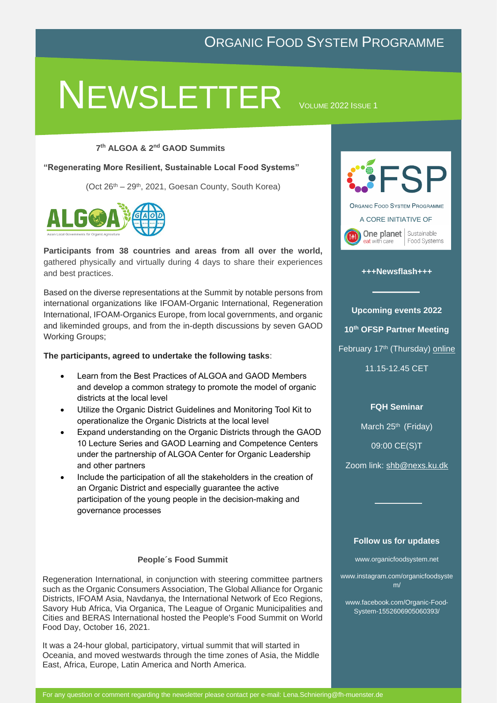# NEWSLETTER VOLUME 2022 ISSUE 1

#### **7 th ALGOA & 2nd GAOD Summits**

**"Regenerating More Resilient, Sustainable Local Food Systems"**

(Oct  $26<sup>th</sup> - 29<sup>th</sup>$ , 2021, Goesan County, South Korea)



**Participants from 38 countries and areas from all over the world,** gathered physically and virtually during 4 days to share their experiences and best practices.

Based on the diverse representations at the Summit by notable persons from international organizations like IFOAM-Organic International, Regeneration International, IFOAM-Organics Europe, from local governments, and organic and likeminded groups, and from the in-depth discussions by seven GAOD Working Groups;

**The participants, agreed to undertake the following tasks**:

- Learn from the Best Practices of ALGOA and GAOD Members and develop a common strategy to promote the model of organic districts at the local level
- Utilize the Organic District Guidelines and Monitoring Tool Kit to operationalize the Organic Districts at the local level
- Expand understanding on the Organic Districts through the GAOD 10 Lecture Series and GAOD Learning and Competence Centers under the partnership of ALGOA Center for Organic Leadership and other partners
- Include the participation of all the stakeholders in the creation of an Organic District and especially guarantee the active participation of the young people in the decision-making and governance processes

#### **People´s Food Summit**

Regeneration International, in conjunction with steering committee partners such as the Organic Consumers Association, The Global Alliance for Organic Districts, IFOAM Asia, Navdanya, the International Network of Eco Regions, Savory Hub Africa, Via Organica, The League of Organic Municipalities and Cities and BERAS International hosted the People's Food Summit on World Food Day, October 16, 2021.

It was a 24-hour global, participatory, virtual summit that will started in Oceania, and moved westwards through the time zones of Asia, the Middle East, Africa, Europe, Latin America and North America.



#### **+++Newsflash+++**

**Upcoming events 2022 10th OFSP Partner Meeting** February 17th (Thursday) [online](https://organicfoodsystem.net/portfolio/save-the-date-17-02-partner-meeting/)

11.15-12.45 CET

**FQH Seminar**

March 25<sup>th</sup> (Friday)

09:00 CE(S)T

Zoom link: [shb@nexs.ku.dk](file:///C:/Users/schni/OneDrive/Dokumente/OFSP/Newsletter/OFSP_2022/shb@nexs.ku.dk) 

#### **Follow us for updates**

www.organicfoodsystem.net

www.instagram.com/organicfoodsyste m/